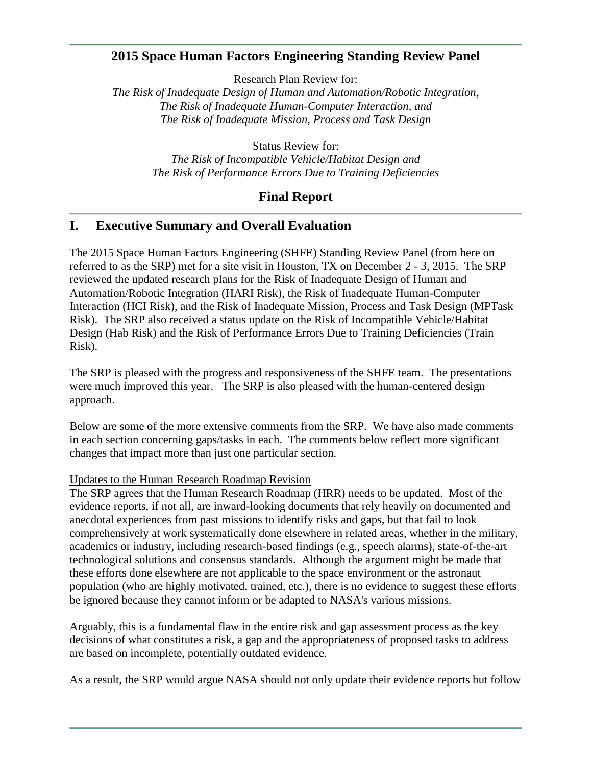## **2015 Space Human Factors Engineering Standing Review Panel**

Research Plan Review for:

*The Risk of Inadequate Design of Human and Automation/Robotic Integration, The Risk of Inadequate Human-Computer Interaction, and The Risk of Inadequate Mission, Process and Task Design*

Status Review for:

*The Risk of Incompatible Vehicle/Habitat Design and The Risk of Performance Errors Due to Training Deficiencies*

## **Final Report**

## **I. Executive Summary and Overall Evaluation**

The 2015 Space Human Factors Engineering (SHFE) Standing Review Panel (from here on referred to as the SRP) met for a site visit in Houston, TX on December 2 - 3, 2015. The SRP reviewed the updated research plans for the Risk of Inadequate Design of Human and Automation/Robotic Integration (HARI Risk), the Risk of Inadequate Human-Computer Interaction (HCI Risk), and the Risk of Inadequate Mission, Process and Task Design (MPTask Risk). The SRP also received a status update on the Risk of Incompatible Vehicle/Habitat Design (Hab Risk) and the Risk of Performance Errors Due to Training Deficiencies (Train Risk).

The SRP is pleased with the progress and responsiveness of the SHFE team. The presentations were much improved this year. The SRP is also pleased with the human-centered design approach.

Below are some of the more extensive comments from the SRP. We have also made comments in each section concerning gaps/tasks in each. The comments below reflect more significant changes that impact more than just one particular section.

#### Updates to the Human Research Roadmap Revision

The SRP agrees that the Human Research Roadmap (HRR) needs to be updated. Most of the evidence reports, if not all, are inward-looking documents that rely heavily on documented and anecdotal experiences from past missions to identify risks and gaps, but that fail to look comprehensively at work systematically done elsewhere in related areas, whether in the military, academics or industry, including research-based findings (e.g., speech alarms), state-of-the-art technological solutions and consensus standards. Although the argument might be made that these efforts done elsewhere are not applicable to the space environment or the astronaut population (who are highly motivated, trained, etc.), there is no evidence to suggest these efforts be ignored because they cannot inform or be adapted to NASA's various missions.

Arguably, this is a fundamental flaw in the entire risk and gap assessment process as the key decisions of what constitutes a risk, a gap and the appropriateness of proposed tasks to address are based on incomplete, potentially outdated evidence.

As a result, the SRP would argue NASA should not only update their evidence reports but follow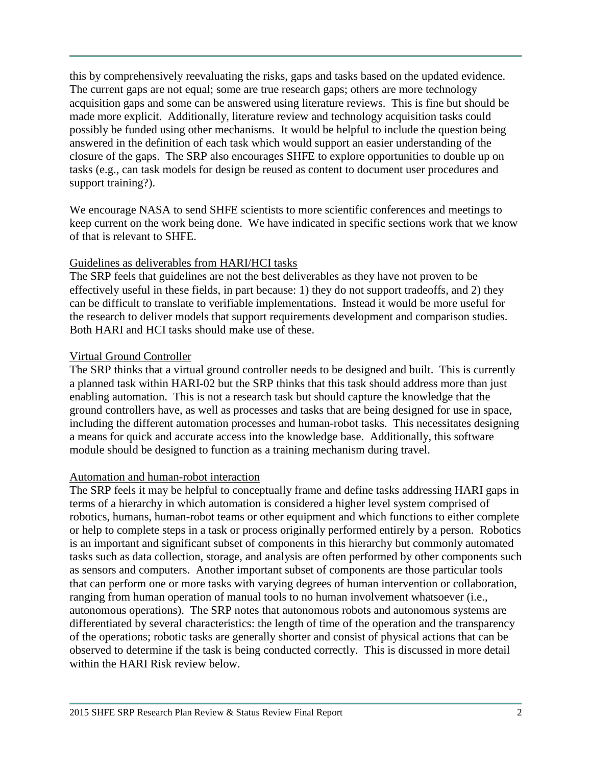this by comprehensively reevaluating the risks, gaps and tasks based on the updated evidence. The current gaps are not equal; some are true research gaps; others are more technology acquisition gaps and some can be answered using literature reviews. This is fine but should be made more explicit. Additionally, literature review and technology acquisition tasks could possibly be funded using other mechanisms. It would be helpful to include the question being answered in the definition of each task which would support an easier understanding of the closure of the gaps. The SRP also encourages SHFE to explore opportunities to double up on tasks (e.g., can task models for design be reused as content to document user procedures and support training?).

We encourage NASA to send SHFE scientists to more scientific conferences and meetings to keep current on the work being done. We have indicated in specific sections work that we know of that is relevant to SHFE.

#### Guidelines as deliverables from HARI/HCI tasks

The SRP feels that guidelines are not the best deliverables as they have not proven to be effectively useful in these fields, in part because: 1) they do not support tradeoffs, and 2) they can be difficult to translate to verifiable implementations. Instead it would be more useful for the research to deliver models that support requirements development and comparison studies. Both HARI and HCI tasks should make use of these.

#### Virtual Ground Controller

The SRP thinks that a virtual ground controller needs to be designed and built. This is currently a planned task within HARI-02 but the SRP thinks that this task should address more than just enabling automation. This is not a research task but should capture the knowledge that the ground controllers have, as well as processes and tasks that are being designed for use in space, including the different automation processes and human-robot tasks. This necessitates designing a means for quick and accurate access into the knowledge base. Additionally, this software module should be designed to function as a training mechanism during travel.

### Automation and human-robot interaction

The SRP feels it may be helpful to conceptually frame and define tasks addressing HARI gaps in terms of a hierarchy in which automation is considered a higher level system comprised of robotics, humans, human-robot teams or other equipment and which functions to either complete or help to complete steps in a task or process originally performed entirely by a person. Robotics is an important and significant subset of components in this hierarchy but commonly automated tasks such as data collection, storage, and analysis are often performed by other components such as sensors and computers. Another important subset of components are those particular tools that can perform one or more tasks with varying degrees of human intervention or collaboration, ranging from human operation of manual tools to no human involvement whatsoever (i.e., autonomous operations). The SRP notes that autonomous robots and autonomous systems are differentiated by several characteristics: the length of time of the operation and the transparency of the operations; robotic tasks are generally shorter and consist of physical actions that can be observed to determine if the task is being conducted correctly. This is discussed in more detail within the HARI Risk review below.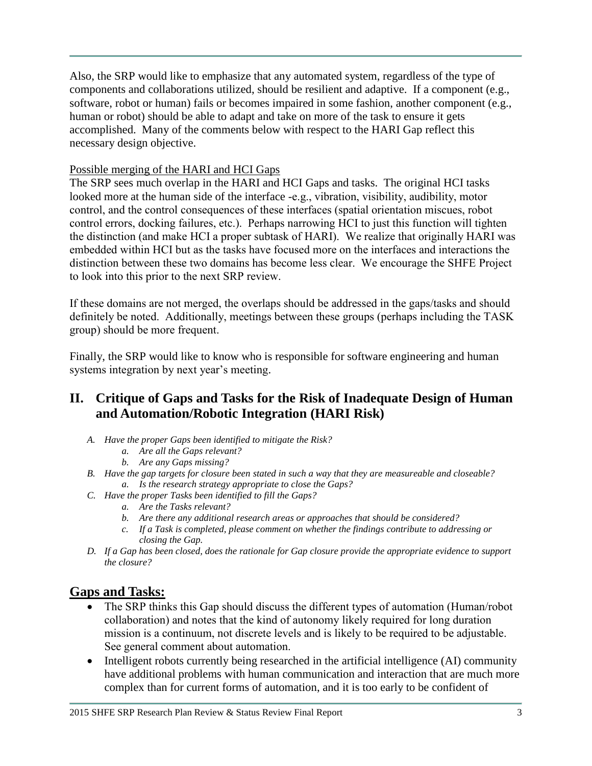Also, the SRP would like to emphasize that any automated system, regardless of the type of components and collaborations utilized, should be resilient and adaptive. If a component (e.g., software, robot or human) fails or becomes impaired in some fashion, another component (e.g., human or robot) should be able to adapt and take on more of the task to ensure it gets accomplished. Many of the comments below with respect to the HARI Gap reflect this necessary design objective.

## Possible merging of the HARI and HCI Gaps

The SRP sees much overlap in the HARI and HCI Gaps and tasks. The original HCI tasks looked more at the human side of the interface -e.g., vibration, visibility, audibility, motor control, and the control consequences of these interfaces (spatial orientation miscues, robot control errors, docking failures, etc.). Perhaps narrowing HCI to just this function will tighten the distinction (and make HCI a proper subtask of HARI). We realize that originally HARI was embedded within HCI but as the tasks have focused more on the interfaces and interactions the distinction between these two domains has become less clear. We encourage the SHFE Project to look into this prior to the next SRP review.

If these domains are not merged, the overlaps should be addressed in the gaps/tasks and should definitely be noted. Additionally, meetings between these groups (perhaps including the TASK group) should be more frequent.

Finally, the SRP would like to know who is responsible for software engineering and human systems integration by next year's meeting.

# **II. Critique of Gaps and Tasks for the Risk of Inadequate Design of Human and Automation/Robotic Integration (HARI Risk)**

- *A. Have the proper Gaps been identified to mitigate the Risk?*
	- *a. Are all the Gaps relevant?*
	- *b. Are any Gaps missing?*
- *B. Have the gap targets for closure been stated in such a way that they are measureable and closeable? a. Is the research strategy appropriate to close the Gaps?*
- *C. Have the proper Tasks been identified to fill the Gaps?*
	- *a. Are the Tasks relevant?*
	- *b. Are there any additional research areas or approaches that should be considered?*
	- *c. If a Task is completed, please comment on whether the findings contribute to addressing or closing the Gap.*
- *D. If a Gap has been closed, does the rationale for Gap closure provide the appropriate evidence to support the closure?*

# **Gaps and Tasks:**

- The SRP thinks this Gap should discuss the different types of automation (Human/robot) collaboration) and notes that the kind of autonomy likely required for long duration mission is a continuum, not discrete levels and is likely to be required to be adjustable. See general comment about automation.
- Intelligent robots currently being researched in the artificial intelligence (AI) community have additional problems with human communication and interaction that are much more complex than for current forms of automation, and it is too early to be confident of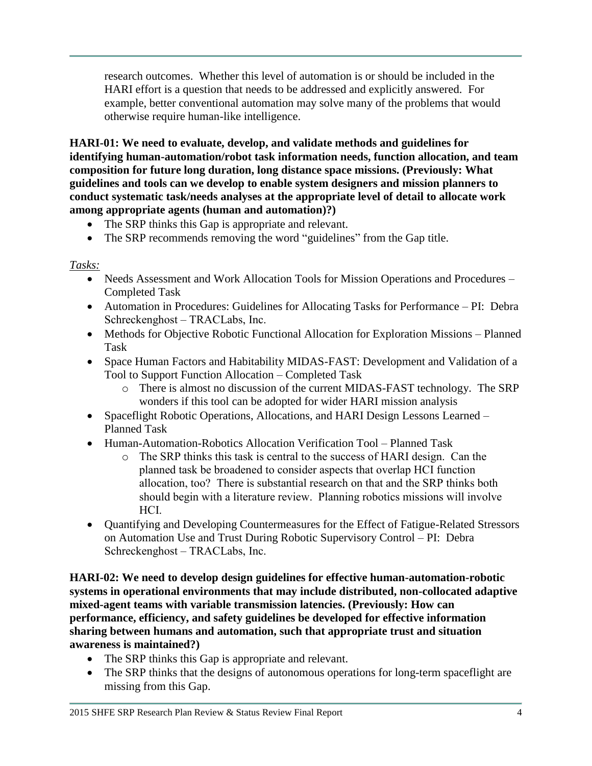research outcomes. Whether this level of automation is or should be included in the HARI effort is a question that needs to be addressed and explicitly answered. For example, better conventional automation may solve many of the problems that would otherwise require human-like intelligence.

**HARI-01: We need to evaluate, develop, and validate methods and guidelines for identifying human-automation/robot task information needs, function allocation, and team composition for future long duration, long distance space missions. (Previously: What guidelines and tools can we develop to enable system designers and mission planners to conduct systematic task/needs analyses at the appropriate level of detail to allocate work among appropriate agents (human and automation)?)**

- The SRP thinks this Gap is appropriate and relevant.
- The SRP recommends removing the word "guidelines" from the Gap title.

## *Tasks:*

- Needs Assessment and Work Allocation Tools for Mission Operations and Procedures Completed Task
- Automation in Procedures: Guidelines for Allocating Tasks for Performance PI: Debra Schreckenghost – TRACLabs, Inc.
- Methods for Objective Robotic Functional Allocation for Exploration Missions Planned Task
- Space Human Factors and Habitability MIDAS-FAST: Development and Validation of a Tool to Support Function Allocation – Completed Task
	- o There is almost no discussion of the current MIDAS-FAST technology. The SRP wonders if this tool can be adopted for wider HARI mission analysis
- Spaceflight Robotic Operations, Allocations, and HARI Design Lessons Learned Planned Task
- Human-Automation-Robotics Allocation Verification Tool Planned Task
	- o The SRP thinks this task is central to the success of HARI design. Can the planned task be broadened to consider aspects that overlap HCI function allocation, too? There is substantial research on that and the SRP thinks both should begin with a literature review. Planning robotics missions will involve HCI.
- Quantifying and Developing Countermeasures for the Effect of Fatigue-Related Stressors on Automation Use and Trust During Robotic Supervisory Control – PI: Debra Schreckenghost – TRACLabs, Inc.

**HARI-02: We need to develop design guidelines for effective human-automation-robotic systems in operational environments that may include distributed, non-collocated adaptive mixed-agent teams with variable transmission latencies. (Previously: How can performance, efficiency, and safety guidelines be developed for effective information sharing between humans and automation, such that appropriate trust and situation awareness is maintained?)**

- The SRP thinks this Gap is appropriate and relevant.
- The SRP thinks that the designs of autonomous operations for long-term spaceflight are missing from this Gap.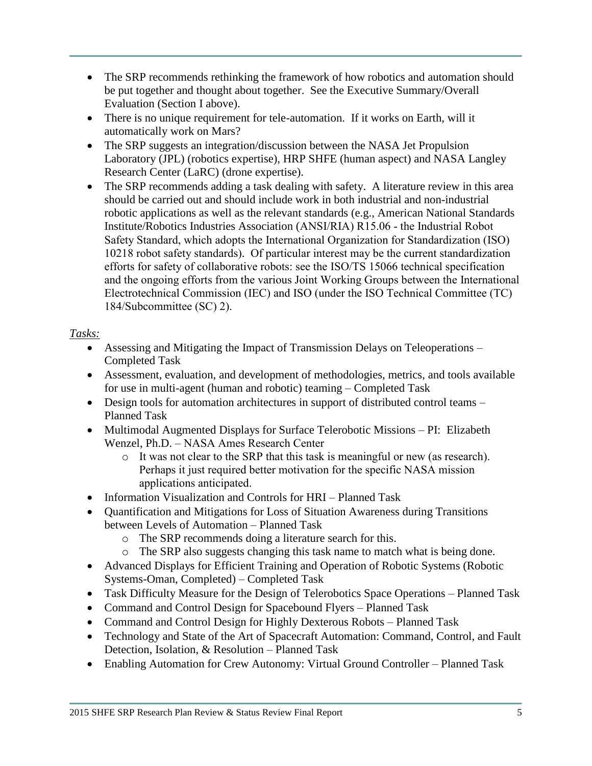- The SRP recommends rethinking the framework of how robotics and automation should be put together and thought about together. See the Executive Summary/Overall Evaluation (Section I above).
- There is no unique requirement for tele-automation. If it works on Earth, will it automatically work on Mars?
- The SRP suggests an integration/discussion between the NASA Jet Propulsion Laboratory (JPL) (robotics expertise), HRP SHFE (human aspect) and NASA Langley Research Center (LaRC) (drone expertise).
- The SRP recommends adding a task dealing with safety. A literature review in this area should be carried out and should include work in both industrial and non-industrial robotic applications as well as the relevant standards (e.g., American National Standards Institute/Robotics Industries Association (ANSI/RIA) R15.06 - the Industrial Robot Safety Standard, which adopts the International Organization for Standardization (ISO) 10218 robot safety standards). Of particular interest may be the current standardization efforts for safety of collaborative robots: see the ISO/TS 15066 technical specification and the ongoing efforts from the various Joint Working Groups between the International Electrotechnical Commission (IEC) and ISO (under the ISO Technical Committee (TC) 184/Subcommittee (SC) 2).

- Assessing and Mitigating the Impact of Transmission Delays on Teleoperations Completed Task
- Assessment, evaluation, and development of methodologies, metrics, and tools available for use in multi-agent (human and robotic) teaming – Completed Task
- Design tools for automation architectures in support of distributed control teams Planned Task
- Multimodal Augmented Displays for Surface Telerobotic Missions PI: Elizabeth Wenzel, Ph.D. – NASA Ames Research Center
	- o It was not clear to the SRP that this task is meaningful or new (as research). Perhaps it just required better motivation for the specific NASA mission applications anticipated.
- Information Visualization and Controls for HRI Planned Task
- Quantification and Mitigations for Loss of Situation Awareness during Transitions between Levels of Automation – Planned Task
	- o The SRP recommends doing a literature search for this.
	- o The SRP also suggests changing this task name to match what is being done.
- Advanced Displays for Efficient Training and Operation of Robotic Systems (Robotic Systems-Oman, Completed) – Completed Task
- Task Difficulty Measure for the Design of Telerobotics Space Operations Planned Task
- Command and Control Design for Spacebound Flyers Planned Task
- Command and Control Design for Highly Dexterous Robots Planned Task
- Technology and State of the Art of Spacecraft Automation: Command, Control, and Fault Detection, Isolation, & Resolution – Planned Task
- Enabling Automation for Crew Autonomy: Virtual Ground Controller Planned Task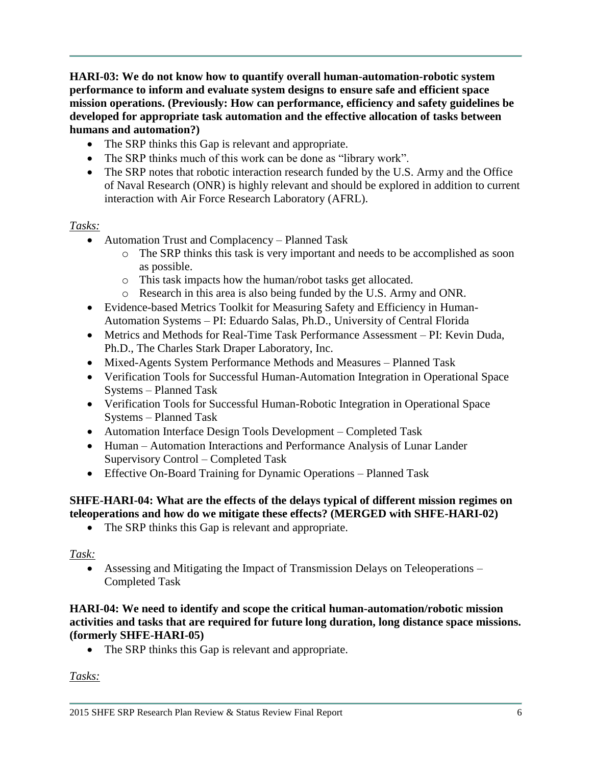**HARI-03: We do not know how to quantify overall human-automation-robotic system performance to inform and evaluate system designs to ensure safe and efficient space mission operations. (Previously: How can performance, efficiency and safety guidelines be developed for appropriate task automation and the effective allocation of tasks between humans and automation?)**

- The SRP thinks this Gap is relevant and appropriate.
- The SRP thinks much of this work can be done as "library work".
- The SRP notes that robotic interaction research funded by the U.S. Army and the Office of Naval Research (ONR) is highly relevant and should be explored in addition to current interaction with Air Force Research Laboratory (AFRL).

## *Tasks:*

- Automation Trust and Complacency Planned Task
	- o The SRP thinks this task is very important and needs to be accomplished as soon as possible.
	- o This task impacts how the human/robot tasks get allocated.
	- o Research in this area is also being funded by the U.S. Army and ONR.
- Evidence-based Metrics Toolkit for Measuring Safety and Efficiency in Human-Automation Systems – PI: Eduardo Salas, Ph.D., University of Central Florida
- Metrics and Methods for Real-Time Task Performance Assessment PI: Kevin Duda, Ph.D., The Charles Stark Draper Laboratory, Inc.
- Mixed-Agents System Performance Methods and Measures Planned Task
- Verification Tools for Successful Human-Automation Integration in Operational Space Systems – Planned Task
- Verification Tools for Successful Human-Robotic Integration in Operational Space Systems – Planned Task
- Automation Interface Design Tools Development Completed Task
- Human Automation Interactions and Performance Analysis of Lunar Lander Supervisory Control – Completed Task
- Effective On-Board Training for Dynamic Operations Planned Task

## **SHFE-HARI-04: What are the effects of the delays typical of different mission regimes on teleoperations and how do we mitigate these effects? (MERGED with SHFE-HARI-02)**

• The SRP thinks this Gap is relevant and appropriate.

### *Task:*

 Assessing and Mitigating the Impact of Transmission Delays on Teleoperations – Completed Task

### **HARI-04: We need to identify and scope the critical human-automation/robotic mission activities and tasks that are required for future long duration, long distance space missions. (formerly SHFE-HARI-05)**

• The SRP thinks this Gap is relevant and appropriate.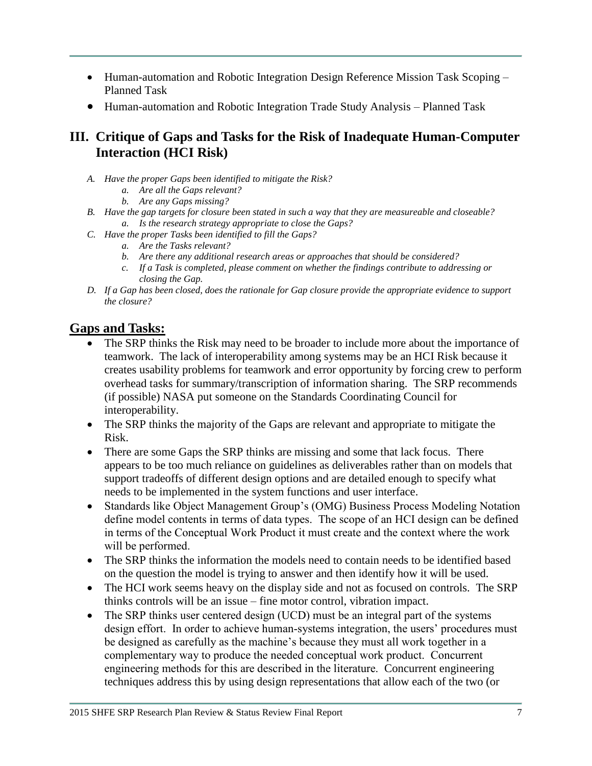- Human-automation and Robotic Integration Design Reference Mission Task Scoping Planned Task
- Human-automation and Robotic Integration Trade Study Analysis Planned Task

# **III. Critique of Gaps and Tasks for the Risk of Inadequate Human-Computer Interaction (HCI Risk)**

- *A. Have the proper Gaps been identified to mitigate the Risk?*
	- *a. Are all the Gaps relevant?*
	- *b. Are any Gaps missing?*
- *B. Have the gap targets for closure been stated in such a way that they are measureable and closeable? a. Is the research strategy appropriate to close the Gaps?*
- *C. Have the proper Tasks been identified to fill the Gaps?*
	- *a. Are the Tasks relevant?*
	- *b. Are there any additional research areas or approaches that should be considered?*
	- *c. If a Task is completed, please comment on whether the findings contribute to addressing or closing the Gap.*
- *D. If a Gap has been closed, does the rationale for Gap closure provide the appropriate evidence to support the closure?*

# **Gaps and Tasks:**

- The SRP thinks the Risk may need to be broader to include more about the importance of teamwork. The lack of interoperability among systems may be an HCI Risk because it creates usability problems for teamwork and error opportunity by forcing crew to perform overhead tasks for summary/transcription of information sharing. The SRP recommends (if possible) NASA put someone on the Standards Coordinating Council for interoperability.
- The SRP thinks the majority of the Gaps are relevant and appropriate to mitigate the Risk.
- There are some Gaps the SRP thinks are missing and some that lack focus. There appears to be too much reliance on guidelines as deliverables rather than on models that support tradeoffs of different design options and are detailed enough to specify what needs to be implemented in the system functions and user interface.
- Standards like Object Management Group's (OMG) Business Process Modeling Notation define model contents in terms of data types. The scope of an HCI design can be defined in terms of the Conceptual Work Product it must create and the context where the work will be performed.
- The SRP thinks the information the models need to contain needs to be identified based on the question the model is trying to answer and then identify how it will be used.
- The HCI work seems heavy on the display side and not as focused on controls. The SRP thinks controls will be an issue – fine motor control, vibration impact.
- The SRP thinks user centered design (UCD) must be an integral part of the systems design effort. In order to achieve human-systems integration, the users' procedures must be designed as carefully as the machine's because they must all work together in a complementary way to produce the needed conceptual work product. Concurrent engineering methods for this are described in the literature. Concurrent engineering techniques address this by using design representations that allow each of the two (or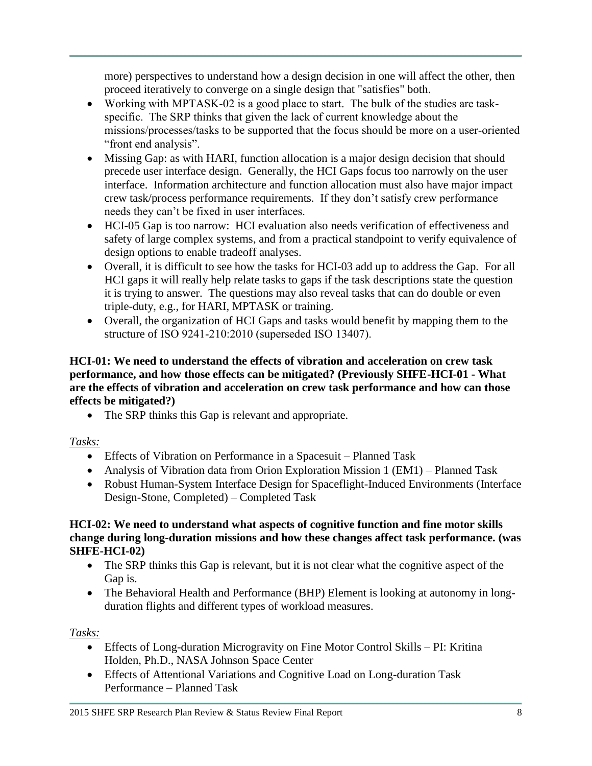more) perspectives to understand how a design decision in one will affect the other, then proceed iteratively to converge on a single design that "satisfies" both.

- Working with MPTASK-02 is a good place to start. The bulk of the studies are taskspecific. The SRP thinks that given the lack of current knowledge about the missions/processes/tasks to be supported that the focus should be more on a user-oriented "front end analysis".
- Missing Gap: as with HARI, function allocation is a major design decision that should precede user interface design. Generally, the HCI Gaps focus too narrowly on the user interface. Information architecture and function allocation must also have major impact crew task/process performance requirements. If they don't satisfy crew performance needs they can't be fixed in user interfaces.
- HCI-05 Gap is too narrow: HCI evaluation also needs verification of effectiveness and safety of large complex systems, and from a practical standpoint to verify equivalence of design options to enable tradeoff analyses.
- Overall, it is difficult to see how the tasks for HCI-03 add up to address the Gap. For all HCI gaps it will really help relate tasks to gaps if the task descriptions state the question it is trying to answer. The questions may also reveal tasks that can do double or even triple-duty, e.g., for HARI, MPTASK or training.
- Overall, the organization of HCI Gaps and tasks would benefit by mapping them to the structure of [ISO 9241-210:2010](http://www.iso.org/iso/home/store/catalogue_ics/catalogue_detail_ics.htm?csnumber=52075) (superseded ISO 13407).

## **HCI-01: We need to understand the effects of vibration and acceleration on crew task performance, and how those effects can be mitigated? (Previously SHFE-HCI-01 - What are the effects of vibration and acceleration on crew task performance and how can those effects be mitigated?)**

• The SRP thinks this Gap is relevant and appropriate.

## *Tasks:*

- Effects of Vibration on Performance in a Spacesuit Planned Task
- Analysis of Vibration data from Orion Exploration Mission 1 (EM1) Planned Task
- Robust Human-System Interface Design for Spaceflight-Induced Environments (Interface Design-Stone, Completed) – Completed Task

## **HCI-02: We need to understand what aspects of cognitive function and fine motor skills change during long-duration missions and how these changes affect task performance. (was SHFE-HCI-02)**

- The SRP thinks this Gap is relevant, but it is not clear what the cognitive aspect of the Gap is.
- The Behavioral Health and Performance (BHP) Element is looking at autonomy in longduration flights and different types of workload measures.

- Effects of Long-duration Microgravity on Fine Motor Control Skills PI: Kritina Holden, Ph.D., NASA Johnson Space Center
- Effects of Attentional Variations and Cognitive Load on Long-duration Task Performance – Planned Task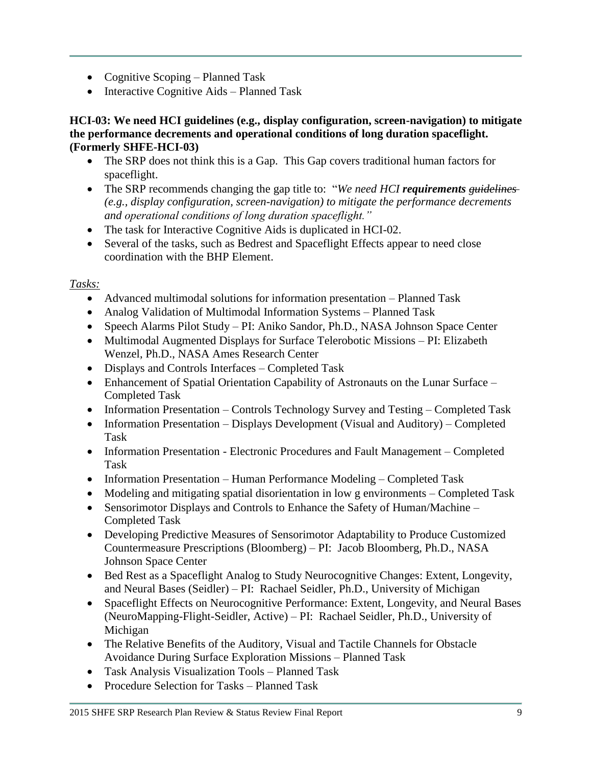- Cognitive Scoping Planned Task
- $\bullet$  Interactive Cognitive Aids Planned Task

**HCI-03: We need HCI guidelines (e.g., display configuration, screen-navigation) to mitigate the performance decrements and operational conditions of long duration spaceflight. (Formerly SHFE-HCI-03)**

- The SRP does not think this is a Gap. This Gap covers traditional human factors for spaceflight.
- The SRP recommends changing the gap title to: "*We need HCI requirements guidelines (e.g., display configuration, screen-navigation) to mitigate the performance decrements and operational conditions of long duration spaceflight."*
- The task for Interactive Cognitive Aids is duplicated in HCI-02.
- Several of the tasks, such as Bedrest and Spaceflight Effects appear to need close coordination with the BHP Element.

- Advanced multimodal solutions for information presentation Planned Task
- Analog Validation of Multimodal Information Systems Planned Task
- Speech Alarms Pilot Study PI: Aniko Sandor, Ph.D., NASA Johnson Space Center
- Multimodal Augmented Displays for Surface Telerobotic Missions PI: Elizabeth Wenzel, Ph.D., NASA Ames Research Center
- Displays and Controls Interfaces Completed Task
- Enhancement of Spatial Orientation Capability of Astronauts on the Lunar Surface Completed Task
- Information Presentation Controls Technology Survey and Testing Completed Task
- Information Presentation Displays Development (Visual and Auditory) Completed Task
- Information Presentation Electronic Procedures and Fault Management Completed Task
- Information Presentation Human Performance Modeling Completed Task
- Modeling and mitigating spatial disorientation in low g environments Completed Task
- Sensorimotor Displays and Controls to Enhance the Safety of Human/Machine Completed Task
- Developing Predictive Measures of Sensorimotor Adaptability to Produce Customized Countermeasure Prescriptions (Bloomberg) – PI: Jacob Bloomberg, Ph.D., NASA Johnson Space Center
- Bed Rest as a Spaceflight Analog to Study Neurocognitive Changes: Extent, Longevity, and Neural Bases (Seidler) – PI: Rachael Seidler, Ph.D., University of Michigan
- Spaceflight Effects on Neurocognitive Performance: Extent, Longevity, and Neural Bases (NeuroMapping-Flight-Seidler, Active) – PI: Rachael Seidler, Ph.D., University of Michigan
- The Relative Benefits of the Auditory, Visual and Tactile Channels for Obstacle Avoidance During Surface Exploration Missions – Planned Task
- Task Analysis Visualization Tools Planned Task
- Procedure Selection for Tasks Planned Task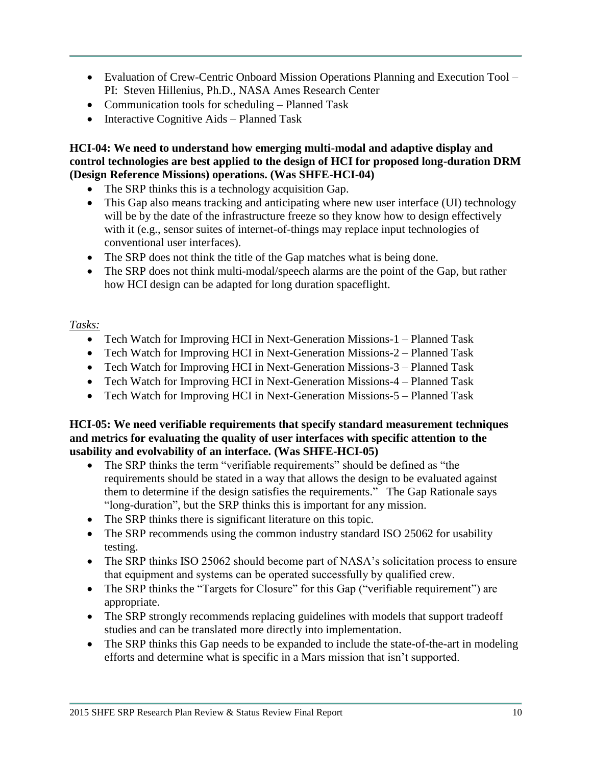- Evaluation of Crew-Centric Onboard Mission Operations Planning and Execution Tool PI: Steven Hillenius, Ph.D., NASA Ames Research Center
- Communication tools for scheduling Planned Task
- Interactive Cognitive Aids Planned Task

## **HCI-04: We need to understand how emerging multi-modal and adaptive display and control technologies are best applied to the design of HCI for proposed long-duration DRM (Design Reference Missions) operations. (Was SHFE-HCI-04)**

- The SRP thinks this is a technology acquisition Gap.
- This Gap also means tracking and anticipating where new user interface (UI) technology will be by the date of the infrastructure freeze so they know how to design effectively with it (e.g., sensor suites of internet-of-things may replace input technologies of conventional user interfaces).
- The SRP does not think the title of the Gap matches what is being done.
- The SRP does not think multi-modal/speech alarms are the point of the Gap, but rather how HCI design can be adapted for long duration spaceflight.

## *Tasks:*

- Tech Watch for Improving HCI in Next-Generation Missions-1 Planned Task
- Tech Watch for Improving HCI in Next-Generation Missions-2 Planned Task
- Tech Watch for Improving HCI in Next-Generation Missions-3 Planned Task
- Tech Watch for Improving HCI in Next-Generation Missions-4 Planned Task
- Tech Watch for Improving HCI in Next-Generation Missions-5 Planned Task

### **HCI-05: We need verifiable requirements that specify standard measurement techniques and metrics for evaluating the quality of user interfaces with specific attention to the usability and evolvability of an interface. (Was SHFE-HCI-05)**

- The SRP thinks the term "verifiable requirements" should be defined as "the requirements should be stated in a way that allows the design to be evaluated against them to determine if the design satisfies the requirements." The Gap Rationale says "long-duration", but the SRP thinks this is important for any mission.
- The SRP thinks there is significant literature on this topic.
- The SRP recommends using the common industry standard ISO 25062 for usability testing.
- The SRP thinks ISO 25062 should become part of NASA's solicitation process to ensure that equipment and systems can be operated successfully by qualified crew.
- The SRP thinks the "Targets for Closure" for this Gap ("verifiable requirement") are appropriate.
- The SRP strongly recommends replacing guidelines with models that support tradeoff studies and can be translated more directly into implementation.
- The SRP thinks this Gap needs to be expanded to include the state-of-the-art in modeling efforts and determine what is specific in a Mars mission that isn't supported.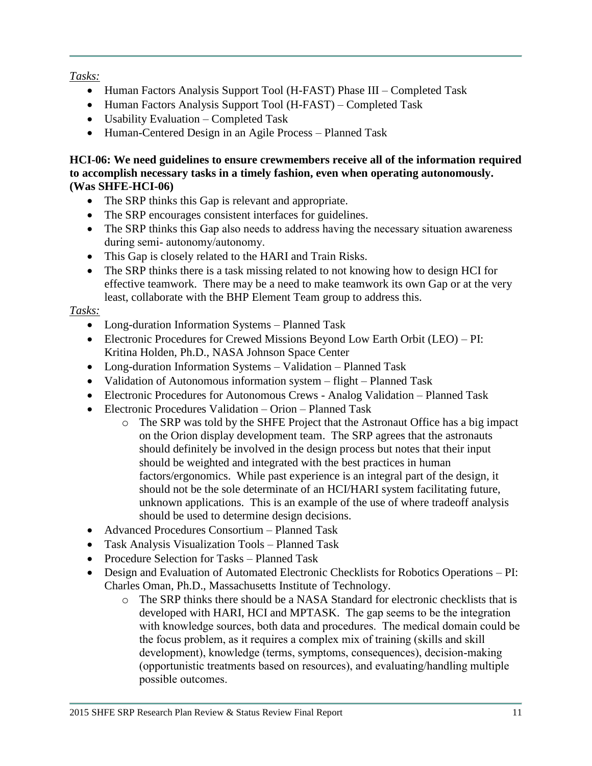## *Tasks:*

- Human Factors Analysis Support Tool (H-FAST) Phase III Completed Task
- Human Factors Analysis Support Tool (H-FAST) Completed Task
- Usability Evaluation Completed Task
- Human-Centered Design in an Agile Process Planned Task

### **HCI-06: We need guidelines to ensure crewmembers receive all of the information required to accomplish necessary tasks in a timely fashion, even when operating autonomously. (Was SHFE-HCI-06)**

- The SRP thinks this Gap is relevant and appropriate.
- The SRP encourages consistent interfaces for guidelines.
- The SRP thinks this Gap also needs to address having the necessary situation awareness during semi- autonomy/autonomy.
- This Gap is closely related to the HARI and Train Risks.
- The SRP thinks there is a task missing related to not knowing how to design HCI for effective teamwork. There may be a need to make teamwork its own Gap or at the very least, collaborate with the BHP Element Team group to address this.

- Long-duration Information Systems Planned Task
- Electronic Procedures for Crewed Missions Beyond Low Earth Orbit (LEO) PI: Kritina Holden, Ph.D., NASA Johnson Space Center
- Long-duration Information Systems Validation Planned Task
- Validation of Autonomous information system flight Planned Task
- Electronic Procedures for Autonomous Crews Analog Validation Planned Task
- Electronic Procedures Validation Orion Planned Task
	- o The SRP was told by the SHFE Project that the Astronaut Office has a big impact on the Orion display development team. The SRP agrees that the astronauts should definitely be involved in the design process but notes that their input should be weighted and integrated with the best practices in human factors/ergonomics. While past experience is an integral part of the design, it should not be the sole determinate of an HCI/HARI system facilitating future, unknown applications. This is an example of the use of where tradeoff analysis should be used to determine design decisions.
- Advanced Procedures Consortium Planned Task
- Task Analysis Visualization Tools Planned Task
- Procedure Selection for Tasks Planned Task
- Design and Evaluation of Automated Electronic Checklists for Robotics Operations PI: Charles Oman, Ph.D., Massachusetts Institute of Technology.
	- o The SRP thinks there should be a NASA Standard for electronic checklists that is developed with HARI, HCI and MPTASK. The gap seems to be the integration with knowledge sources, both data and procedures. The medical domain could be the focus problem, as it requires a complex mix of training (skills and skill development), knowledge (terms, symptoms, consequences), decision-making (opportunistic treatments based on resources), and evaluating/handling multiple possible outcomes.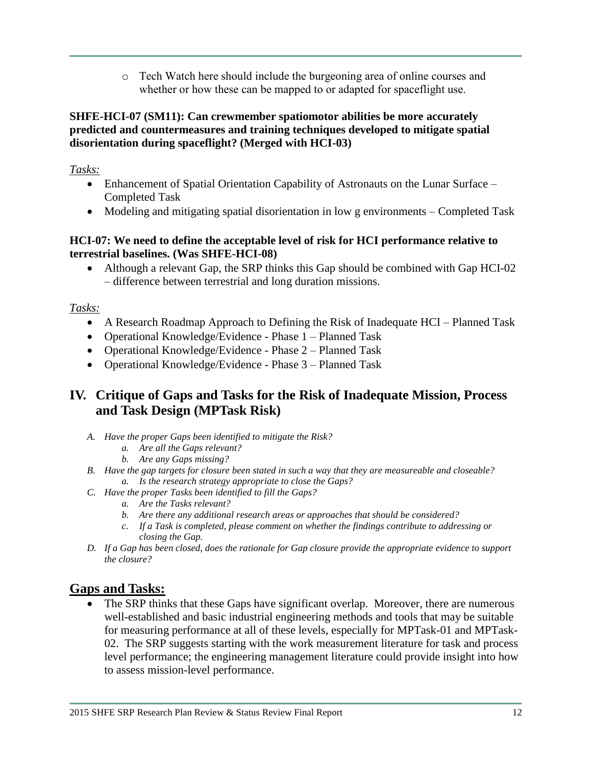o Tech Watch here should include the burgeoning area of online courses and whether or how these can be mapped to or adapted for spaceflight use.

### **SHFE-HCI-07 (SM11): Can crewmember spatiomotor abilities be more accurately predicted and countermeasures and training techniques developed to mitigate spatial disorientation during spaceflight? (Merged with HCI-03)**

*Tasks:*

- Enhancement of Spatial Orientation Capability of Astronauts on the Lunar Surface Completed Task
- Modeling and mitigating spatial disorientation in low g environments Completed Task

### **HCI-07: We need to define the acceptable level of risk for HCI performance relative to terrestrial baselines. (Was SHFE-HCI-08)**

 Although a relevant Gap, the SRP thinks this Gap should be combined with Gap HCI-02 – difference between terrestrial and long duration missions.

## *Tasks:*

- A Research Roadmap Approach to Defining the Risk of Inadequate HCI Planned Task
- Operational Knowledge/Evidence Phase 1 Planned Task
- Operational Knowledge/Evidence Phase 2 Planned Task
- Operational Knowledge/Evidence Phase 3 Planned Task

# **IV. Critique of Gaps and Tasks for the Risk of Inadequate Mission, Process and Task Design (MPTask Risk)**

- *A. Have the proper Gaps been identified to mitigate the Risk?*
	- *a. Are all the Gaps relevant?*
	- *b. Are any Gaps missing?*
- *B. Have the gap targets for closure been stated in such a way that they are measureable and closeable? a. Is the research strategy appropriate to close the Gaps?*
- *C. Have the proper Tasks been identified to fill the Gaps?*
	- *a. Are the Tasks relevant?*
	- *b. Are there any additional research areas or approaches that should be considered?*
	- *c. If a Task is completed, please comment on whether the findings contribute to addressing or closing the Gap.*
- *D. If a Gap has been closed, does the rationale for Gap closure provide the appropriate evidence to support the closure?*

# **Gaps and Tasks:**

 The SRP thinks that these Gaps have significant overlap. Moreover, there are numerous well-established and basic industrial engineering methods and tools that may be suitable for measuring performance at all of these levels, especially for MPTask-01 and MPTask-02. The SRP suggests starting with the work measurement literature for task and process level performance; the engineering management literature could provide insight into how to assess mission-level performance.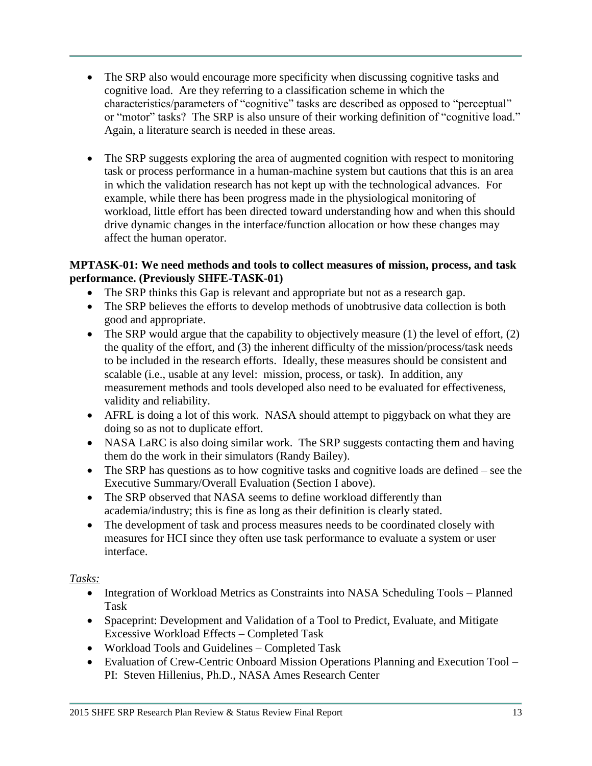- The SRP also would encourage more specificity when discussing cognitive tasks and cognitive load. Are they referring to a classification scheme in which the characteristics/parameters of "cognitive" tasks are described as opposed to "perceptual" or "motor" tasks? The SRP is also unsure of their working definition of "cognitive load." Again, a literature search is needed in these areas.
- The SRP suggests exploring the area of augmented cognition with respect to monitoring task or process performance in a human-machine system but cautions that this is an area in which the validation research has not kept up with the technological advances. For example, while there has been progress made in the physiological monitoring of workload, little effort has been directed toward understanding how and when this should drive dynamic changes in the interface/function allocation or how these changes may affect the human operator.

### **MPTASK-01: We need methods and tools to collect measures of mission, process, and task performance. (Previously SHFE-TASK-01)**

- The SRP thinks this Gap is relevant and appropriate but not as a research gap.
- The SRP believes the efforts to develop methods of unobtrusive data collection is both good and appropriate.
- The SRP would argue that the capability to objectively measure  $(1)$  the level of effort,  $(2)$ the quality of the effort, and (3) the inherent difficulty of the mission/process/task needs to be included in the research efforts. Ideally, these measures should be consistent and scalable (i.e., usable at any level: mission, process, or task). In addition, any measurement methods and tools developed also need to be evaluated for effectiveness, validity and reliability.
- AFRL is doing a lot of this work. NASA should attempt to piggyback on what they are doing so as not to duplicate effort.
- NASA LaRC is also doing similar work. The SRP suggests contacting them and having them do the work in their simulators (Randy Bailey).
- The SRP has questions as to how cognitive tasks and cognitive loads are defined see the Executive Summary/Overall Evaluation (Section I above).
- The SRP observed that NASA seems to define workload differently than academia/industry; this is fine as long as their definition is clearly stated.
- The development of task and process measures needs to be coordinated closely with measures for HCI since they often use task performance to evaluate a system or user interface.

- Integration of Workload Metrics as Constraints into NASA Scheduling Tools Planned Task
- Spaceprint: Development and Validation of a Tool to Predict, Evaluate, and Mitigate Excessive Workload Effects – Completed Task
- Workload Tools and Guidelines Completed Task
- Evaluation of Crew-Centric Onboard Mission Operations Planning and Execution Tool PI: Steven Hillenius, Ph.D., NASA Ames Research Center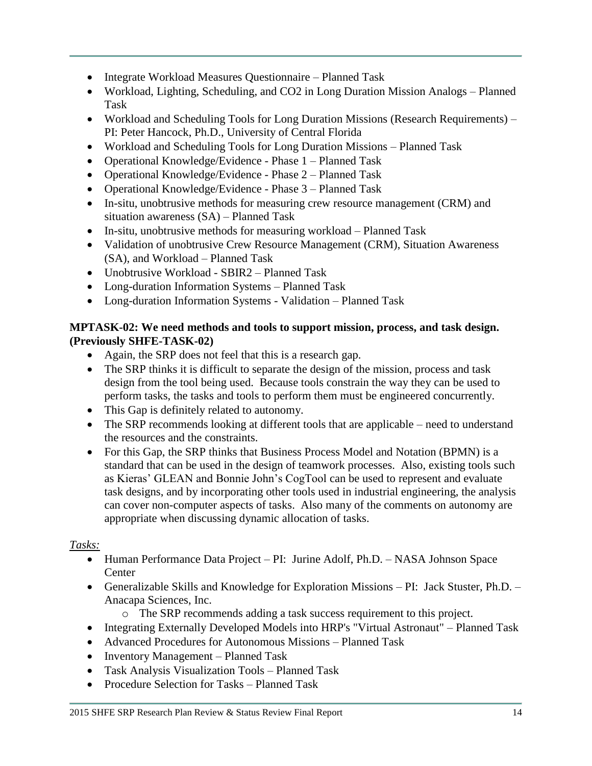- Integrate Workload Measures Questionnaire Planned Task
- Workload, Lighting, Scheduling, and CO2 in Long Duration Mission Analogs Planned Task
- Workload and Scheduling Tools for Long Duration Missions (Research Requirements) PI: Peter Hancock, Ph.D., University of Central Florida
- Workload and Scheduling Tools for Long Duration Missions Planned Task
- Operational Knowledge/Evidence Phase 1 Planned Task
- Operational Knowledge/Evidence Phase 2 Planned Task
- Operational Knowledge/Evidence Phase 3 Planned Task
- In-situ, unobtrusive methods for measuring crew resource management (CRM) and situation awareness (SA) – Planned Task
- In-situ, unobtrusive methods for measuring workload Planned Task
- Validation of unobtrusive Crew Resource Management (CRM), Situation Awareness (SA), and Workload – Planned Task
- Unobtrusive Workload SBIR2 Planned Task
- Long-duration Information Systems Planned Task
- Long-duration Information Systems Validation Planned Task

### **MPTASK-02: We need methods and tools to support mission, process, and task design. (Previously SHFE-TASK-02)**

- Again, the SRP does not feel that this is a research gap.
- The SRP thinks it is difficult to separate the design of the mission, process and task design from the tool being used. Because tools constrain the way they can be used to perform tasks, the tasks and tools to perform them must be engineered concurrently.
- This Gap is definitely related to autonomy.
- The SRP recommends looking at different tools that are applicable need to understand the resources and the constraints.
- For this Gap, the SRP thinks that Business Process Model and Notation (BPMN) is a standard that can be used in the design of teamwork processes. Also, existing tools such as Kieras' GLEAN and Bonnie John's CogTool can be used to represent and evaluate task designs, and by incorporating other tools used in industrial engineering, the analysis can cover non-computer aspects of tasks. Also many of the comments on autonomy are appropriate when discussing dynamic allocation of tasks.

- Human Performance Data Project PI: Jurine Adolf, Ph.D. NASA Johnson Space Center
- Generalizable Skills and Knowledge for Exploration Missions PI: Jack Stuster, Ph.D. Anacapa Sciences, Inc.
	- o The SRP recommends adding a task success requirement to this project.
- Integrating Externally Developed Models into HRP's "Virtual Astronaut" Planned Task
- Advanced Procedures for Autonomous Missions Planned Task
- Inventory Management Planned Task
- Task Analysis Visualization Tools Planned Task
- Procedure Selection for Tasks Planned Task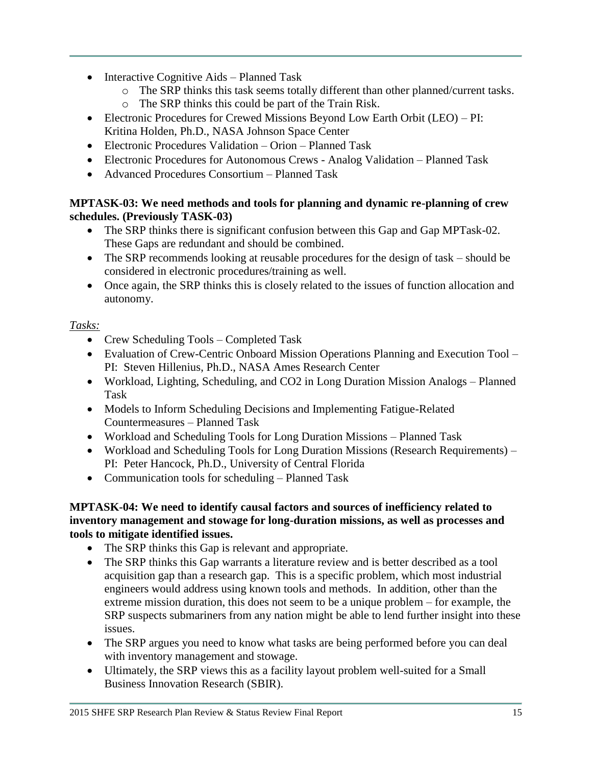- Interactive Cognitive Aids Planned Task
	- o The SRP thinks this task seems totally different than other planned/current tasks.
	- o The SRP thinks this could be part of the Train Risk.
- Electronic Procedures for Crewed Missions Beyond Low Earth Orbit (LEO) PI: Kritina Holden, Ph.D., NASA Johnson Space Center
- Electronic Procedures Validation Orion Planned Task
- Electronic Procedures for Autonomous Crews Analog Validation Planned Task
- Advanced Procedures Consortium Planned Task

## **MPTASK-03: We need methods and tools for planning and dynamic re-planning of crew schedules. (Previously TASK-03)**

- The SRP thinks there is significant confusion between this Gap and Gap MPTask-02. These Gaps are redundant and should be combined.
- The SRP recommends looking at reusable procedures for the design of task should be considered in electronic procedures/training as well.
- Once again, the SRP thinks this is closely related to the issues of function allocation and autonomy.

## *Tasks:*

- Crew Scheduling Tools Completed Task
- Evaluation of Crew-Centric Onboard Mission Operations Planning and Execution Tool PI: Steven Hillenius, Ph.D., NASA Ames Research Center
- Workload, Lighting, Scheduling, and CO2 in Long Duration Mission Analogs Planned Task
- Models to Inform Scheduling Decisions and Implementing Fatigue-Related Countermeasures – Planned Task
- Workload and Scheduling Tools for Long Duration Missions Planned Task
- Workload and Scheduling Tools for Long Duration Missions (Research Requirements) PI: Peter Hancock, Ph.D., University of Central Florida
- Communication tools for scheduling Planned Task

#### **MPTASK-04: We need to identify causal factors and sources of inefficiency related to inventory management and stowage for long-duration missions, as well as processes and tools to mitigate identified issues.**

- The SRP thinks this Gap is relevant and appropriate.
- The SRP thinks this Gap warrants a literature review and is better described as a tool acquisition gap than a research gap. This is a specific problem, which most industrial engineers would address using known tools and methods. In addition, other than the extreme mission duration, this does not seem to be a unique problem – for example, the SRP suspects submariners from any nation might be able to lend further insight into these issues.
- The SRP argues you need to know what tasks are being performed before you can deal with inventory management and stowage.
- Ultimately, the SRP views this as a facility layout problem well-suited for a Small Business Innovation Research (SBIR).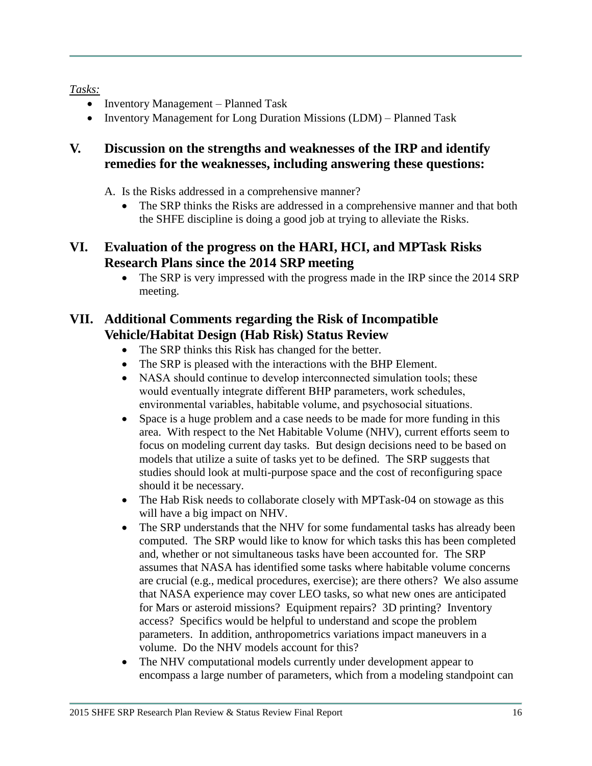## *Tasks:*

- Inventory Management Planned Task
- Inventory Management for Long Duration Missions (LDM) Planned Task

## **V. Discussion on the strengths and weaknesses of the IRP and identify remedies for the weaknesses, including answering these questions:**

- A. Is the Risks addressed in a comprehensive manner?
	- The SRP thinks the Risks are addressed in a comprehensive manner and that both the SHFE discipline is doing a good job at trying to alleviate the Risks.

## **VI. Evaluation of the progress on the HARI, HCI, and MPTask Risks Research Plans since the 2014 SRP meeting**

• The SRP is very impressed with the progress made in the IRP since the 2014 SRP meeting.

# **VII. Additional Comments regarding the Risk of Incompatible Vehicle/Habitat Design (Hab Risk) Status Review**

- The SRP thinks this Risk has changed for the better.
- The SRP is pleased with the interactions with the BHP Element.
- NASA should continue to develop interconnected simulation tools; these would eventually integrate different BHP parameters, work schedules, environmental variables, habitable volume, and psychosocial situations.
- Space is a huge problem and a case needs to be made for more funding in this area. With respect to the Net Habitable Volume (NHV), current efforts seem to focus on modeling current day tasks. But design decisions need to be based on models that utilize a suite of tasks yet to be defined. The SRP suggests that studies should look at multi-purpose space and the cost of reconfiguring space should it be necessary.
- The Hab Risk needs to collaborate closely with MPTask-04 on stowage as this will have a big impact on NHV.
- The SRP understands that the NHV for some fundamental tasks has already been computed. The SRP would like to know for which tasks this has been completed and, whether or not simultaneous tasks have been accounted for. The SRP assumes that NASA has identified some tasks where habitable volume concerns are crucial (e.g., medical procedures, exercise); are there others? We also assume that NASA experience may cover LEO tasks, so what new ones are anticipated for Mars or asteroid missions? Equipment repairs? 3D printing? Inventory access? Specifics would be helpful to understand and scope the problem parameters. In addition, anthropometrics variations impact maneuvers in a volume. Do the NHV models account for this?
- The NHV computational models currently under development appear to encompass a large number of parameters, which from a modeling standpoint can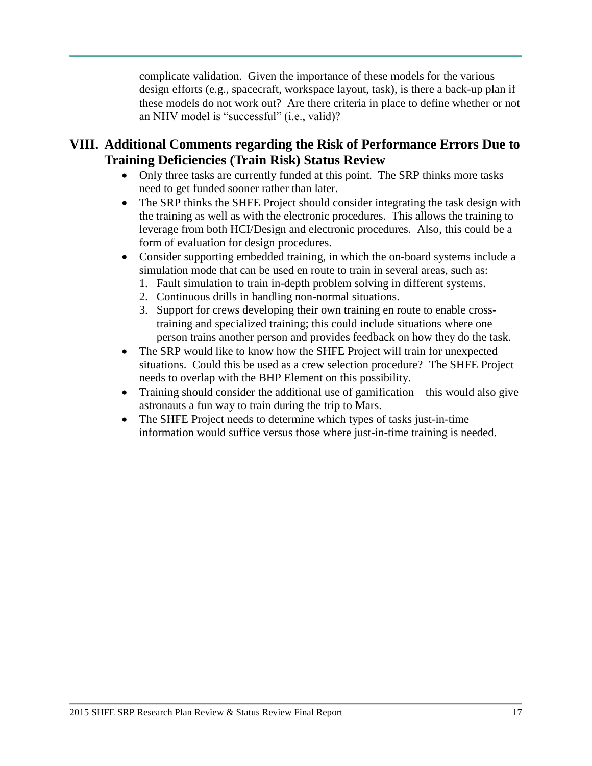complicate validation. Given the importance of these models for the various design efforts (e.g., spacecraft, workspace layout, task), is there a back-up plan if these models do not work out? Are there criteria in place to define whether or not an NHV model is "successful" (i.e., valid)?

# **VIII. Additional Comments regarding the Risk of Performance Errors Due to Training Deficiencies (Train Risk) Status Review**

- Only three tasks are currently funded at this point. The SRP thinks more tasks need to get funded sooner rather than later.
- The SRP thinks the SHFE Project should consider integrating the task design with the training as well as with the electronic procedures. This allows the training to leverage from both HCI/Design and electronic procedures. Also, this could be a form of evaluation for design procedures.
- Consider supporting embedded training, in which the on-board systems include a simulation mode that can be used en route to train in several areas, such as:
	- 1. Fault simulation to train in-depth problem solving in different systems.
	- 2. Continuous drills in handling non-normal situations.
	- 3. Support for crews developing their own training en route to enable crosstraining and specialized training; this could include situations where one person trains another person and provides feedback on how they do the task.
- The SRP would like to know how the SHFE Project will train for unexpected situations. Could this be used as a crew selection procedure? The SHFE Project needs to overlap with the BHP Element on this possibility.
- Training should consider the additional use of gamification this would also give astronauts a fun way to train during the trip to Mars.
- The SHFE Project needs to determine which types of tasks just-in-time information would suffice versus those where just-in-time training is needed.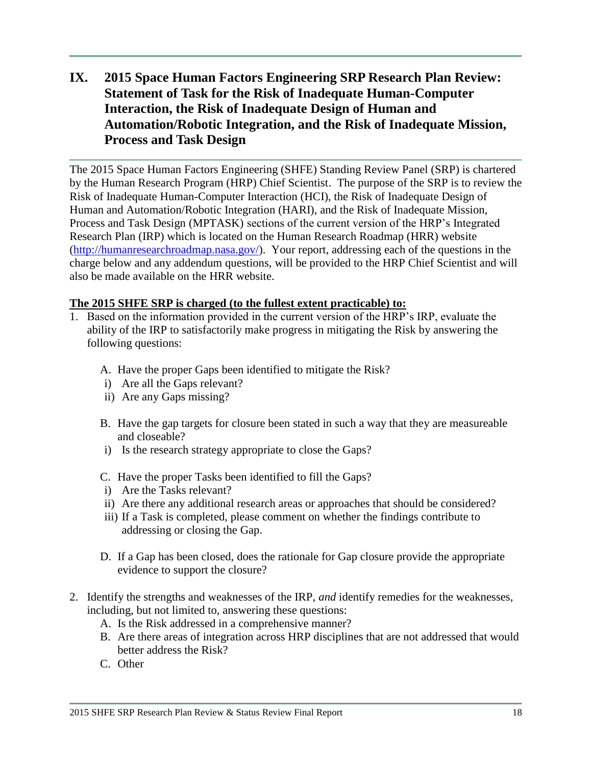# **IX. 2015 Space Human Factors Engineering SRP Research Plan Review: Statement of Task for the Risk of Inadequate Human-Computer Interaction, the Risk of Inadequate Design of Human and Automation/Robotic Integration, and the Risk of Inadequate Mission, Process and Task Design**

The 2015 Space Human Factors Engineering (SHFE) Standing Review Panel (SRP) is chartered by the Human Research Program (HRP) Chief Scientist. The purpose of the SRP is to review the Risk of Inadequate Human-Computer Interaction (HCI), the Risk of Inadequate Design of Human and Automation/Robotic Integration (HARI), and the Risk of Inadequate Mission, Process and Task Design (MPTASK) sections of the current version of the HRP's Integrated Research Plan (IRP) which is located on the Human Research Roadmap (HRR) website [\(http://humanresearchroadmap.nasa.gov/\)](http://humanresearchroadmap.nasa.gov/). Your report, addressing each of the questions in the charge below and any addendum questions, will be provided to the HRP Chief Scientist and will also be made available on the HRR website.

## **The 2015 SHFE SRP is charged (to the fullest extent practicable) to:**

- 1. Based on the information provided in the current version of the HRP's IRP, evaluate the ability of the IRP to satisfactorily make progress in mitigating the Risk by answering the following questions:
	- A. Have the proper Gaps been identified to mitigate the Risk?
	- i) Are all the Gaps relevant?
	- ii) Are any Gaps missing?
	- B. Have the gap targets for closure been stated in such a way that they are measureable and closeable?
	- i) Is the research strategy appropriate to close the Gaps?
	- C. Have the proper Tasks been identified to fill the Gaps?
	- i) Are the Tasks relevant?
	- ii) Are there any additional research areas or approaches that should be considered?
	- iii) If a Task is completed, please comment on whether the findings contribute to addressing or closing the Gap.
	- D. If a Gap has been closed, does the rationale for Gap closure provide the appropriate evidence to support the closure?
- 2. Identify the strengths and weaknesses of the IRP, *and* identify remedies for the weaknesses, including, but not limited to, answering these questions:
	- A. Is the Risk addressed in a comprehensive manner?
	- B. Are there areas of integration across HRP disciplines that are not addressed that would better address the Risk?
	- C. Other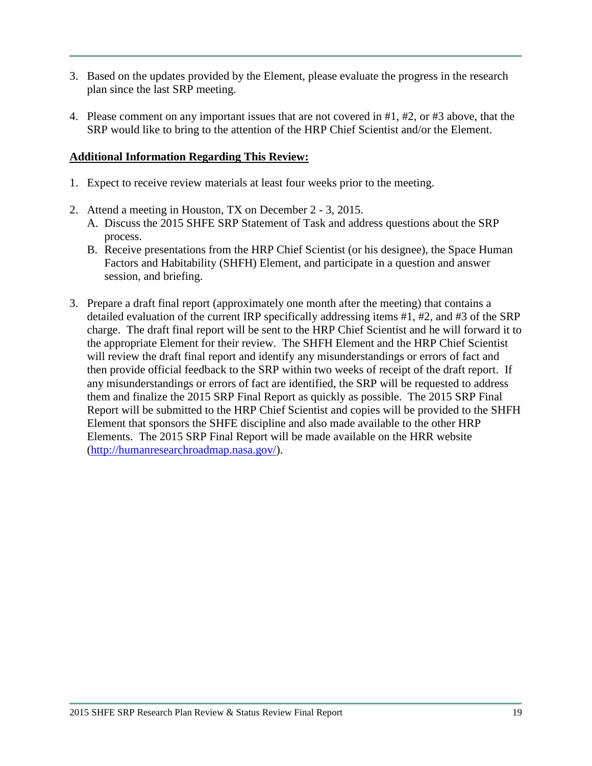- 3. Based on the updates provided by the Element, please evaluate the progress in the research plan since the last SRP meeting.
- 4. Please comment on any important issues that are not covered in #1, #2, or #3 above, that the SRP would like to bring to the attention of the HRP Chief Scientist and/or the Element.

#### **Additional Information Regarding This Review:**

- 1. Expect to receive review materials at least four weeks prior to the meeting.
- 2. Attend a meeting in Houston, TX on December 2 3, 2015.
	- A. Discuss the 2015 SHFE SRP Statement of Task and address questions about the SRP process.
	- B. Receive presentations from the HRP Chief Scientist (or his designee), the Space Human Factors and Habitability (SHFH) Element, and participate in a question and answer session, and briefing.
- 3. Prepare a draft final report (approximately one month after the meeting) that contains a detailed evaluation of the current IRP specifically addressing items #1, #2, and #3 of the SRP charge. The draft final report will be sent to the HRP Chief Scientist and he will forward it to the appropriate Element for their review. The SHFH Element and the HRP Chief Scientist will review the draft final report and identify any misunderstandings or errors of fact and then provide official feedback to the SRP within two weeks of receipt of the draft report. If any misunderstandings or errors of fact are identified, the SRP will be requested to address them and finalize the 2015 SRP Final Report as quickly as possible. The 2015 SRP Final Report will be submitted to the HRP Chief Scientist and copies will be provided to the SHFH Element that sponsors the SHFE discipline and also made available to the other HRP Elements. The 2015 SRP Final Report will be made available on the HRR website [\(http://humanresearchroadmap.nasa.gov/\)](http://humanresearchroadmap.nasa.gov/).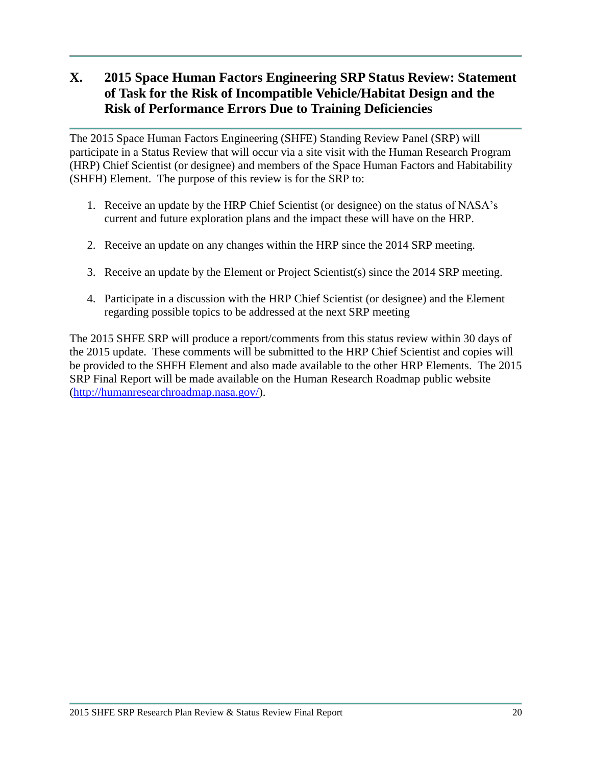# **X. 2015 Space Human Factors Engineering SRP Status Review: Statement of Task for the Risk of Incompatible Vehicle/Habitat Design and the Risk of Performance Errors Due to Training Deficiencies**

The 2015 Space Human Factors Engineering (SHFE) Standing Review Panel (SRP) will participate in a Status Review that will occur via a site visit with the Human Research Program (HRP) Chief Scientist (or designee) and members of the Space Human Factors and Habitability (SHFH) Element. The purpose of this review is for the SRP to:

- 1. Receive an update by the HRP Chief Scientist (or designee) on the status of NASA's current and future exploration plans and the impact these will have on the HRP.
- 2. Receive an update on any changes within the HRP since the 2014 SRP meeting.
- 3. Receive an update by the Element or Project Scientist(s) since the 2014 SRP meeting.
- 4. Participate in a discussion with the HRP Chief Scientist (or designee) and the Element regarding possible topics to be addressed at the next SRP meeting

The 2015 SHFE SRP will produce a report/comments from this status review within 30 days of the 2015 update. These comments will be submitted to the HRP Chief Scientist and copies will be provided to the SHFH Element and also made available to the other HRP Elements. The 2015 SRP Final Report will be made available on the Human Research Roadmap public website [\(http://humanresearchroadmap.nasa.gov/\)](http://humanresearchroadmap.nasa.gov/).